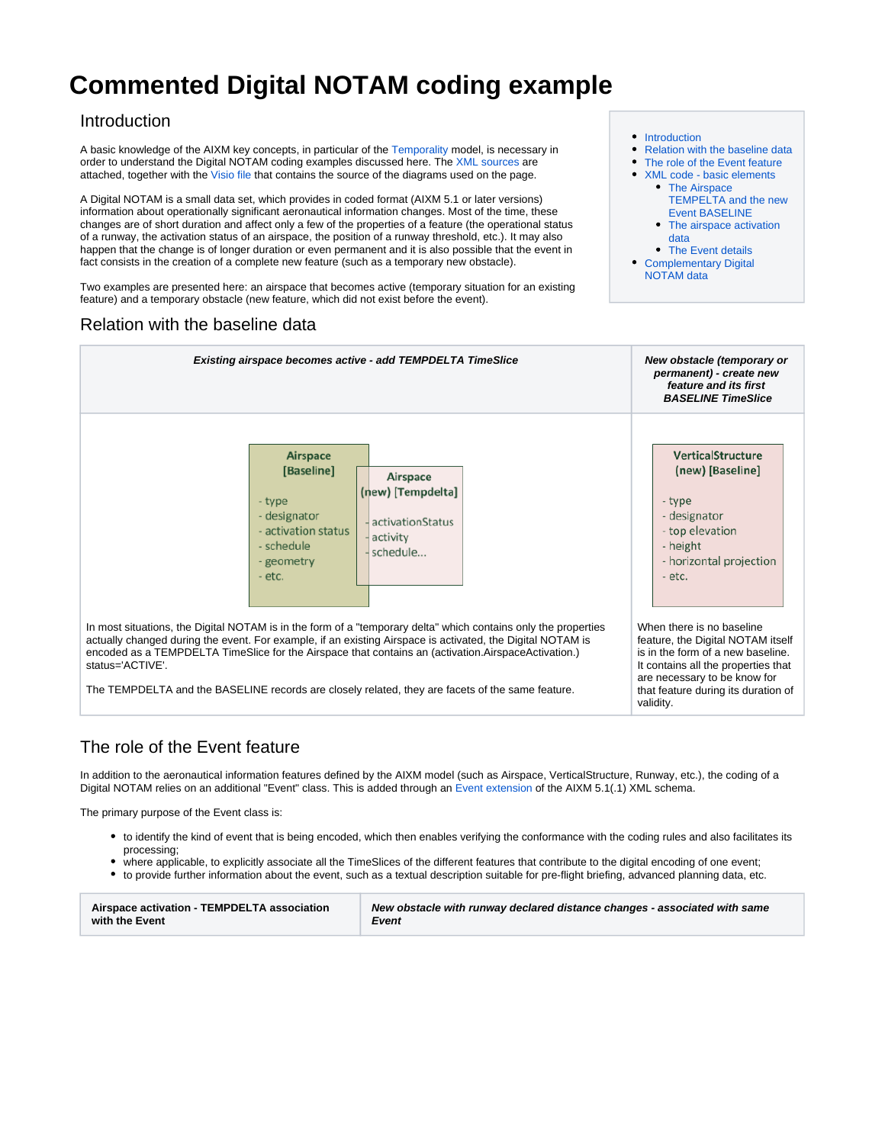# **Commented Digital NOTAM coding example**

### <span id="page-0-0"></span>Introduction

A basic knowledge of the AIXM key concepts, in particular of the [Temporality](http://aixm.aero/sites/aixm.aero/files/imce/AIXM51/aixm_temporality_1.0.pdf) model, is necessary in order to understand the Digital NOTAM coding examples discussed here. The [XML sources](https://ext.eurocontrol.int/aixm_confluence/download/attachments/10093485/%5BSAA.ACT%5D%5B2.0%5D%20-%20EBD04%20Activity%20%28minimal%29.xml?version=1&modificationDate=1519734914000&api=v2) are attached, together with the [Visio file](https://ext.eurocontrol.int/aixm_confluence/download/attachments/10093485/Confluence%20-%20Digital%20NOTAM%20Example.vsd?version=1&modificationDate=1527606692000&api=v2) that contains the source of the diagrams used on the page.

A Digital NOTAM is a small data set, which provides in coded format (AIXM 5.1 or later versions) information about operationally significant aeronautical information changes. Most of the time, these changes are of short duration and affect only a few of the properties of a feature (the operational status of a runway, the activation status of an airspace, the position of a runway threshold, etc.). It may also happen that the change is of longer duration or even permanent and it is also possible that the event in fact consists in the creation of a complete new feature (such as a temporary new obstacle).

Two examples are presented here: an airspace that becomes active (temporary situation for an existing feature) and a temporary obstacle (new feature, which did not exist before the event).

## Relation with the baseline data

- [Introduction](#page-0-0)
- [Relation with the baseline data](#page-0-1)
- [The role of the Event feature](#page-0-2)
- [XML code basic elements](#page-1-0) • The Airspace
	- [TEMPELTA and the new](#page-1-1)  [Event BASELINE](#page-1-1)
	- The airspace activation [data](#page-3-0)
	- [The Event details](#page-3-1)
- [Complementary Digital](#page-4-0)  [NOTAM data](#page-4-0)

<span id="page-0-1"></span>

# <span id="page-0-2"></span>The role of the Event feature

In addition to the aeronautical information features defined by the AIXM model (such as Airspace, VerticalStructure, Runway, etc.), the coding of a Digital NOTAM relies on an additional "Event" class. This is added through an Event extension of the AIXM 5.1(.1) XML schema.

The primary purpose of the Event class is:

- to identify the kind of event that is being encoded, which then enables verifying the conformance with the coding rules and also facilitates its processing;
- where applicable, to explicitly associate all the TimeSlices of the different features that contribute to the digital encoding of one event;
- to provide further information about the event, such as a textual description suitable for pre-flight briefing, advanced planning data, etc.

| Airspace activation - TEMPDELTA association | New obstacle with runway declared distance changes - associated with same |
|---------------------------------------------|---------------------------------------------------------------------------|
| with the Event                              | Event                                                                     |
|                                             |                                                                           |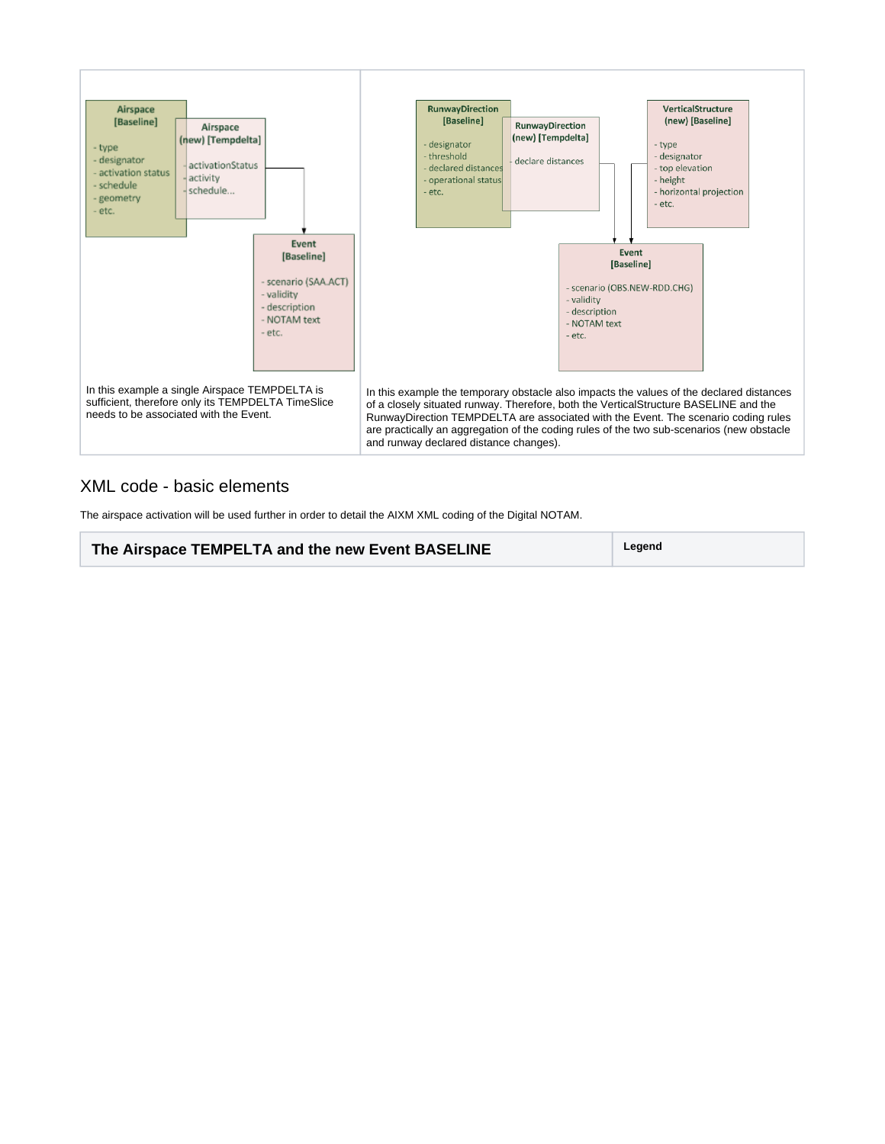

### <span id="page-1-0"></span>XML code - basic elements

<span id="page-1-1"></span>The airspace activation will be used further in order to detail the AIXM XML coding of the Digital NOTAM.

**The Airspace TEMPELTA and the new Event BASELINE Legend**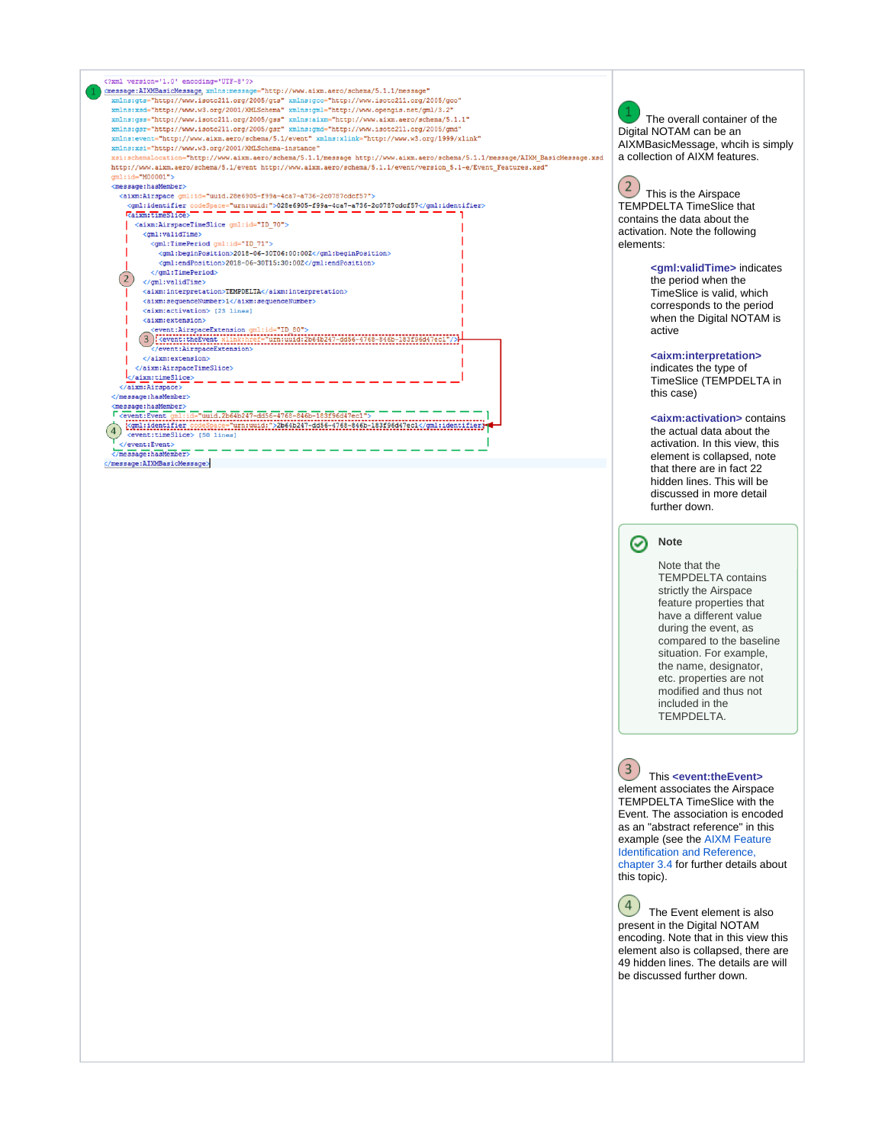

#### **Note**

further down.

Note that the TEMPDELTA contains strictly the Airspace feature properties that have a different value during the event, as compared to the baseline situation. For example, the name, designator, etc. properties are not modified and thus not included in the TEMPDELTA.

 $(3)$  This **<event:theEvent>** element associates the Airspace TEMPDELTA TimeSlice with the Event. The association is encoded as an "abstract reference" in this example (see the [AIXM Feature](http://aixm.aero/sites/aixm.aero/files/imce/AIXM51/aixm_feature_identification_and_reference-1.0.pdf)  [Identification and Reference,](http://aixm.aero/sites/aixm.aero/files/imce/AIXM51/aixm_feature_identification_and_reference-1.0.pdf)  [chapter 3.4](http://aixm.aero/sites/aixm.aero/files/imce/AIXM51/aixm_feature_identification_and_reference-1.0.pdf) for further details about this topic).

 $(4)$  The Event element is also present in the Digital NOTAM encoding. Note that in this view this element also is collapsed, there are 49 hidden lines. The details are will be discussed further down.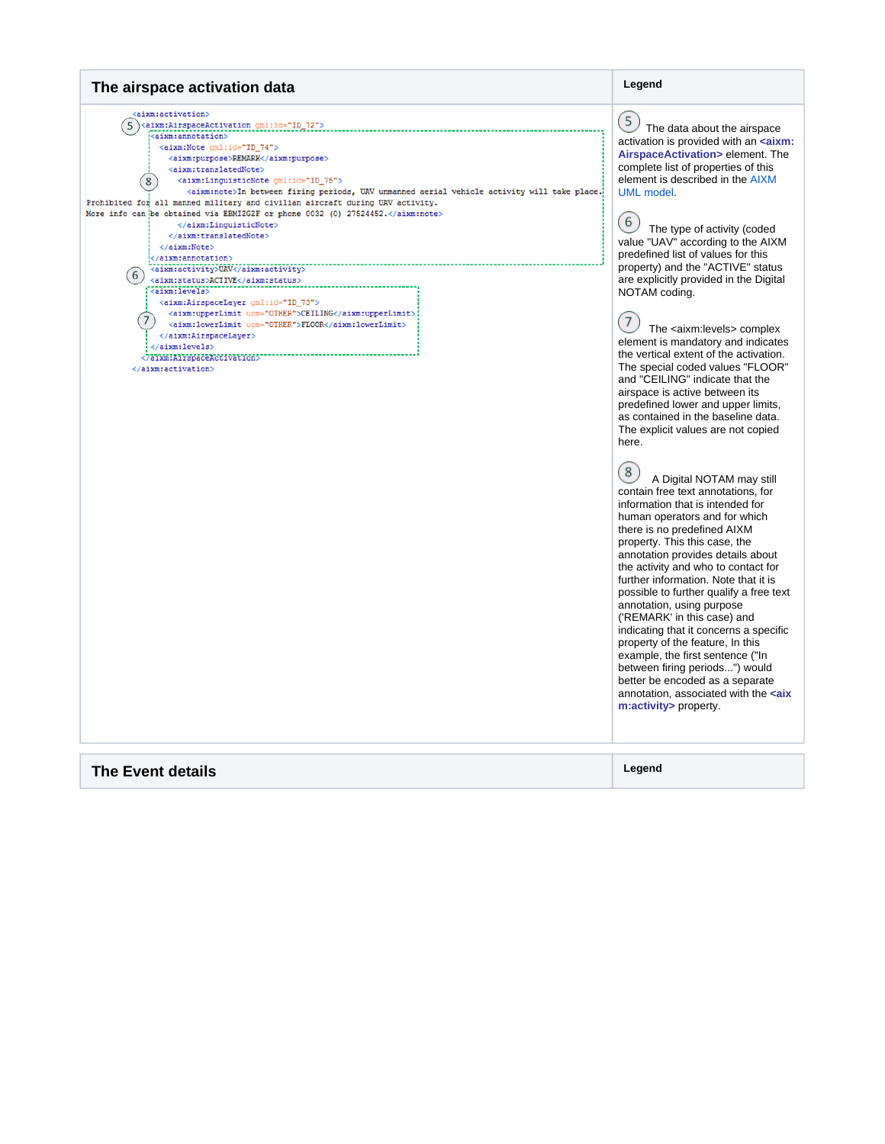#### <span id="page-3-1"></span><span id="page-3-0"></span>**The airspace activation data Legend** <aixm:activation>  $(5)$ (5)<aixm:AirspaceActivation\_gml:id="ID\_72"> The data about the airspace <aixm:annotation> activation is provided with an **<aixm:** <aixm:Note gml:id="ID 74"> **AirspaceActivation>** element. The <aixm:purpose>REMARK</aixm:purpose> <aixm:translatedNote> complete list of properties of this element is described in the [AIXM](http://aixm.aero/sites/aixm.aero/files/imce/AIXM51HTML/AIXM/Diagram_AirspaceActivation.html?menu=open)   $(8)$ <aixm:LinguisticNote gml:id="ID\_75"> <aixm:note>In between firing periods, UAV unmanned aerial vehicle activity will take place. [UML model](http://aixm.aero/sites/aixm.aero/files/imce/AIXM51HTML/AIXM/Diagram_AirspaceActivation.html?menu=open) . Prohibited for all manned military and civilian aircraft during UAV activity. More info can be obtained via EBMIZGZF or phone 0032 (0) 27524452.</aixm:note>  $(6)$  $\langle$ /aixm:LinguisticNote> The type of activity (coded  $\langle$ /aixm:translatedNote> value "UAV" according to the AIXM  $\langle$ /aixm:Note> predefined list of values for this </aixm:annotation> <aixm:activity>UAV</aixm:activity> property) and the "ACTIVE" status (6)<br>
<aixm:activity>URV</aixm:activity><br>
<aixm:status>ACTIVE</aixm:activity><br>
<aixm:levels><br>
<aixm:activity><br>
<aixm:activity><br>
<aixm:activity><br>
<aixm:activity> are explicitly provided in the Digital NOTAM coding. <aixm:AirspaceLayer gml:id="ID\_73"> variantinoperLimit uom="OTHER">CEILING</aixm:upperLimit><aixm:upperLimit uom="OTHER">CEILING</aixm:1owerLimit>  $(7)$  $(7)$  The <aixm:levels> complex  $\langle$ /aixm:AirspaceLayer> element is mandatory and indicates </aixm:levels> the vertical extent of the activation. The special coded values "FLOOR" </aixm:activation> and "CEILING" indicate that the airspace is active between its predefined lower and upper limits, as contained in the baseline data. The explicit values are not copied here.  $(8)$  A Digital NOTAM may still contain free text annotations, for information that is intended for human operators and for which there is no predefined AIXM property. This this case, the annotation provides details about the activity and who to contact for further information. Note that it is possible to further qualify a free text annotation, using purpose ('REMARK' in this case) and indicating that it concerns a specific property of the feature, In this example, the first sentence ("In between firing periods...") would better be encoded as a separate annotation, associated with the **<aix m:activity>** property. **The Event details Legend**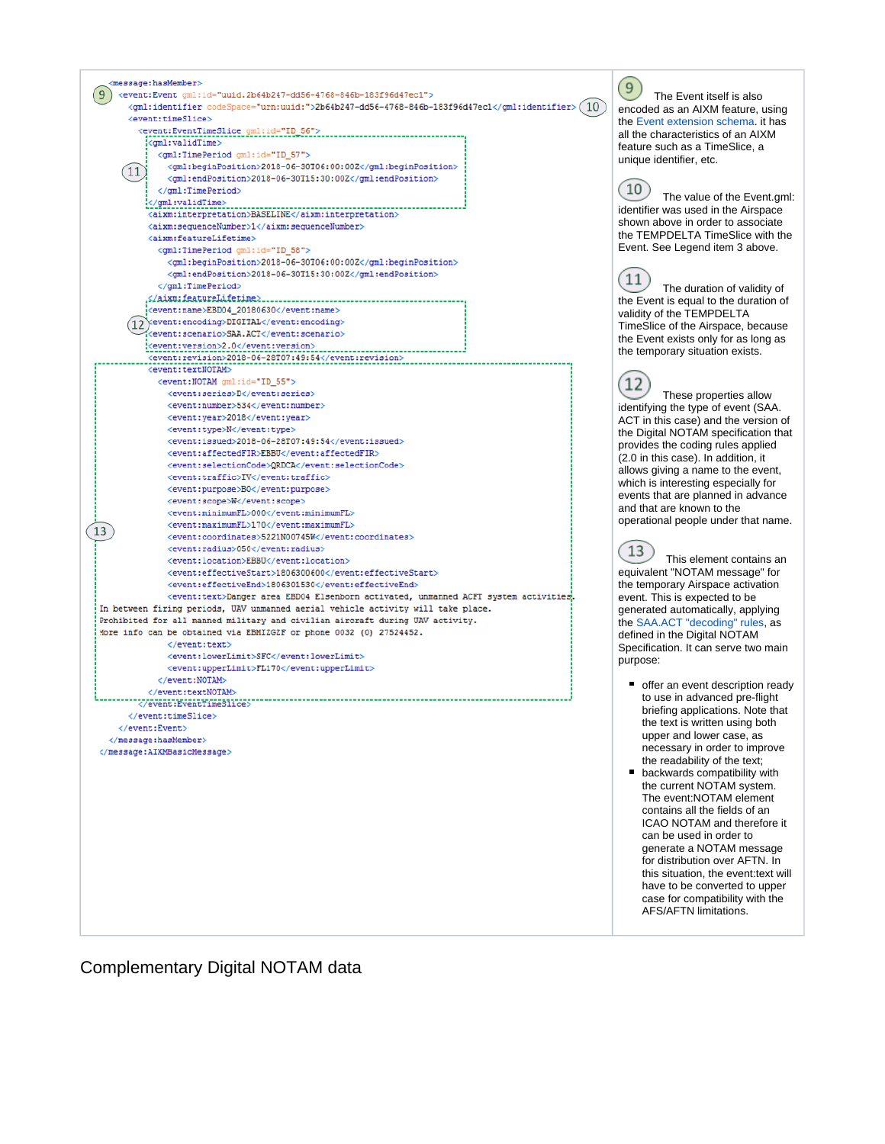<span id="page-4-0"></span>